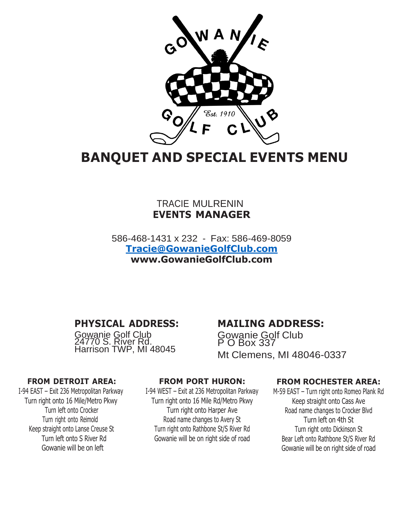

# **BANQUET AND SPECIAL EVENTS MENU**

## TRACIE MULRENIN **EVENTS MANAGER**

586-468-1431 x 232 - Fax: 586-469-8059 **[Tracie@GowanieGolfClub.com](mailto:Tracie@GowanieGolfClub.com) [www.GowanieGolfClub.com](http://www.gowaniegolfclub.com/)**

# **PHYSICAL ADDRESS:**

Gowanie Golf Club 24770 S. River Rd. Harrison TWP, MI 48045

## **MAILING ADDRESS:**

Gowanie Golf Club P O Box 337 Mt Clemens, MI 48046-0337

### **FROM DETROIT AREA:**

I-94 EAST – Exit 236 Metropolitan Parkway Turn right onto 16 Mile/Metro Pkwy Turn left onto Crocker Turn right onto Reimold Keep straight onto Lanse Creuse St Turn left onto S River Rd Gowanie will be on left

### **FROM PORT HURON:**

I-94 WEST – Exit at 236 Metropolitan Parkway Turn right onto 16 Mile Rd/Metro Pkwy Turn right onto Harper Ave Road name changes to Avery St Turn right onto Rathbone St/S River Rd Gowanie will be on right side of road

### **FROM ROCHESTER AREA:**

M-59 EAST – Turn right onto Romeo Plank Rd Keep straight onto Cass Ave Road name changes to Crocker Blvd Turn left on 4th St Turn right onto Dickinson St Bear Left onto Rathbone St/S River Rd Gowanie will be on right side of road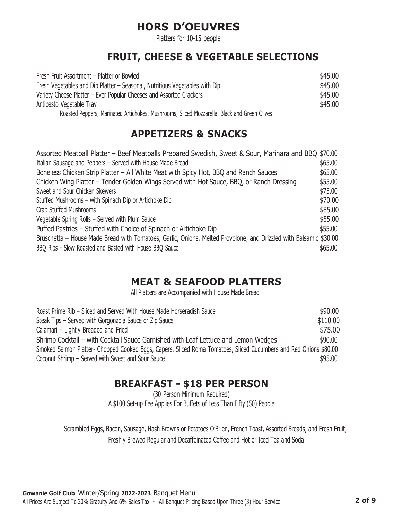# **HORS D'OEUVRES**

Platters for 10-15 people

# **FRUIT, CHEESE & VEGETABLE SELECTIONS**

| Fresh Fruit Assortment – Platter or Bowled                                                  | \$45.00 |
|---------------------------------------------------------------------------------------------|---------|
| Fresh Vegetables and Dip Platter – Seasonal, Nutritious Vegetables with Dip                 | \$45.00 |
| Variety Cheese Platter – Ever Popular Cheeses and Assorted Crackers                         | \$45.00 |
| Antipasto Vegetable Tray                                                                    | \$45.00 |
| Roasted Peppers, Marinated Artichokes, Mushrooms, Sliced Mozzarella, Black and Green Olives |         |

# **APPETIZERS & SNACKS**

| Assorted Meatball Platter – Beef Meatballs Prepared Swedish, Sweet & Sour, Marinara and BBQ \$70.00               |         |
|-------------------------------------------------------------------------------------------------------------------|---------|
| Italian Sausage and Peppers - Served with House Made Bread                                                        | \$65.00 |
| Boneless Chicken Strip Platter - All White Meat with Spicy Hot, BBQ and Ranch Sauces                              | \$65.00 |
| Chicken Wing Platter – Tender Golden Wings Served with Hot Sauce, BBQ, or Ranch Dressing                          | \$55.00 |
| Sweet and Sour Chicken Skewers                                                                                    | \$75.00 |
| Stuffed Mushrooms – with Spinach Dip or Artichoke Dip                                                             | \$70.00 |
| Crab Stuffed Mushrooms                                                                                            | \$85.00 |
| Vegetable Spring Rolls - Served with Plum Sauce                                                                   | \$55.00 |
| Puffed Pastries - Stuffed with Choice of Spinach or Artichoke Dip                                                 | \$55.00 |
| Bruschetta – House Made Bread with Tomatoes, Garlic, Onions, Melted Provolone, and Drizzled with Balsamic \$30.00 |         |
| BBQ Ribs - Slow Roasted and Basted with House BBQ Sauce                                                           | \$65.00 |

# **MEAT & SEAFOOD PLATTERS**

All Platters are Accompanied with House Made Bread

| Roast Prime Rib – Sliced and Served With House Made Horseradish Sauce                                             | \$90.00  |
|-------------------------------------------------------------------------------------------------------------------|----------|
| Steak Tips – Served with Gorgonzola Sauce or Zip Sauce                                                            | \$110.00 |
| Calamari – Lightly Breaded and Fried                                                                              | \$75.00  |
| Shrimp Cocktail – with Cocktail Sauce Garnished with Leaf Lettuce and Lemon Wedges                                | \$90,00  |
| Smoked Salmon Platter- Chopped Cooked Eggs, Capers, Sliced Roma Tomatoes, Sliced Cucumbers and Red Onions \$80.00 |          |
| Coconut Shrimp – Served with Sweet and Sour Sauce                                                                 | \$95,00  |

# **BREAKFAST - \$18 PER PERSON**

(30 Person Minimum Required) A \$100 Set-up Fee Applies For Buffets of Less Than Fifty (50) People

Scrambled Eggs, Bacon, Sausage, Hash Browns or Potatoes O'Brien, French Toast, Assorted Breads, and Fresh Fruit, Freshly Brewed Regular and Decaffeinated Coffee and Hot or Iced Tea and Soda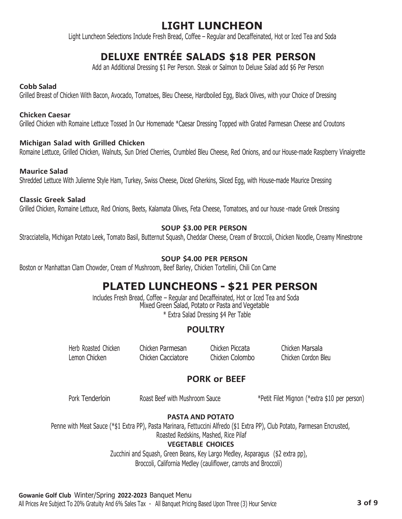# **LIGHT LUNCHEON**

Light Luncheon Selections Include Fresh Bread, Coffee – Regular and Decaffeinated, Hot or Iced Tea and Soda

# **DELUXE ENTRÉE SALADS \$18 PER PERSON**

Add an Additional Dressing \$1 Per Person. Steak or Salmon to Deluxe Salad add \$6 Per Person

#### **Cobb Salad**

Grilled Breast of Chicken With Bacon, Avocado, Tomatoes, Bleu Cheese, Hardboiled Egg, Black Olives, with your Choice of Dressing

#### **Chicken Caesar**

Grilled Chicken with Romaine Lettuce Tossed In Our Homemade \*Caesar Dressing Topped with Grated Parmesan Cheese and Croutons

### **Michigan Salad with Grilled Chicken**

Romaine Lettuce, Grilled Chicken, Walnuts, Sun Dried Cherries, Crumbled Bleu Cheese, Red Onions, and our House-made Raspberry Vinaigrette

### **Maurice Salad**

Shredded Lettuce With Julienne Style Ham, Turkey, Swiss Cheese, Diced Gherkins, Sliced Egg, with House-made Maurice Dressing

#### **Classic Greek Salad**

Grilled Chicken, Romaine Lettuce, Red Onions, Beets, Kalamata Olives, Feta Cheese, Tomatoes, and our house -made Greek Dressing

### **SOUP \$3.00 PER PERSON**

Stracciatella, Michigan Potato Leek, Tomato Basil, Butternut Squash, Cheddar Cheese, Cream of Broccoli, Chicken Noodle, Creamy Minestrone

### **SOUP \$4.00 PER PERSON**

Boston or Manhattan Clam Chowder, Cream of Mushroom, Beef Barley, Chicken Tortellini, Chili Con Carne

# **PLATED LUNCHEONS - \$21 PER PERSON**

Includes Fresh Bread, Coffee – Regular and Decaffeinated, Hot or Iced Tea and Soda Mixed Green Salad, Potato or Pasta and Vegetable \* Extra Salad Dressing \$4 Per Table

## **POULTRY**

Herb Roasted Chicken Chicken Parmesan Chicken Piccata Chicken Marsala Lemon Chicken Chicken Cacciatore Chicken Colombo Chicken Cordon Bleu

## **PORK or BEEF**

Pork Tenderloin **Roast Beef with Mushroom Sauce** \*\* Petit Filet Mignon (\*extra \$10 per person)

### **PASTA AND POTATO**

Penne with Meat Sauce (\*\$1 Extra PP), Pasta Marinara, Fettuccini Alfredo (\$1 Extra PP), Club Potato, Parmesan Encrusted,

Roasted Redskins, Mashed, Rice Pilaf

### **VEGETABLE CHOICES**

Zucchini and Squash, Green Beans, Key Largo Medley, Asparagus (\$2 extra pp), Broccoli, California Medley (cauliflower, carrots and Broccoli)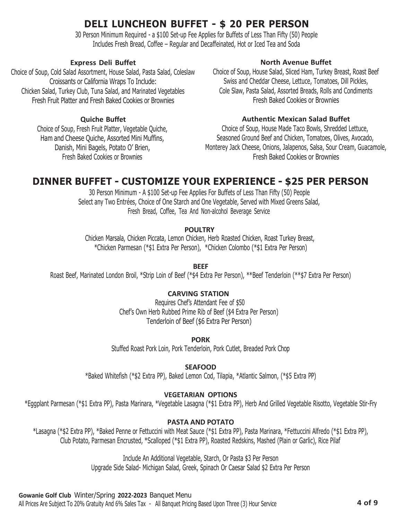# **DELI LUNCHEON BUFFET - \$ 20 PER PERSON**

30 Person Minimum Required - a \$100 Set-up Fee Applies for Buffets of Less Than Fifty (50) People Includes Fresh Bread, Coffee – Regular and Decaffeinated, Hot or Iced Tea and Soda

### **Express Deli Buffet**

Choice of Soup, Cold Salad Assortment, House Salad, Pasta Salad, Coleslaw Croissants or California Wraps To Include: Chicken Salad, Turkey Club, Tuna Salad, and Marinated Vegetables Fresh Fruit Platter and Fresh Baked Cookies or Brownies

### **Quiche Buffet**

Choice of Soup, Fresh Fruit Platter, Vegetable Quiche, Ham and Cheese Quiche, Assorted Mini Muffins, Danish, Mini Bagels, Potato O' Brien, Fresh Baked Cookies or Brownies

### **North Avenue Buffet**

Choice of Soup, House Salad, Sliced Ham, Turkey Breast, Roast Beef Swiss and Cheddar Cheese, Lettuce, Tomatoes, Dill Pickles, Cole Slaw, Pasta Salad, Assorted Breads, Rolls and Condiments Fresh Baked Cookies or Brownies

### **Authentic Mexican Salad Buffet**

Choice of Soup, House Made Taco Bowls, Shredded Lettuce, Seasoned Ground Beef and Chicken, Tomatoes, Olives, Avocado, Monterey Jack Cheese, Onions, Jalapenos, Salsa, Sour Cream, Guacamole, Fresh Baked Cookies or Brownies

# **DINNER BUFFET - CUSTOMIZE YOUR EXPERIENCE - \$25 PER PERSON**

30 Person Minimum - A \$100 Set-up Fee Applies For Buffets of Less Than Fifty (50) People Select any Two Entrées, Choice of One Starch and One Vegetable, Served with Mixed Greens Salad, Fresh Bread, Coffee, Tea And Non-alcohol Beverage Service

### **POULTRY**

Chicken Marsala, Chicken Piccata, Lemon Chicken, Herb Roasted Chicken, Roast Turkey Breast, \*Chicken Parmesan (\*\$1 Extra Per Person), \*Chicken Colombo (\*\$1 Extra Per Person)

### **BEEF**

Roast Beef, Marinated London Broil, \*Strip Loin of Beef (\*\$4 Extra Per Person), \*\*Beef Tenderloin (\*\*\$7 Extra Per Person)

### **CARVING STATION**

Requires Chef's Attendant Fee of \$50 Chef's Own Herb Rubbed Prime Rib of Beef (\$4 Extra Per Person) Tenderloin of Beef (\$6 Extra Per Person)

**PORK**

Stuffed Roast Pork Loin, Pork Tenderloin, Pork Cutlet, Breaded Pork Chop

### **SEAFOOD**

\*Baked Whitefish (\*\$2 Extra PP), Baked Lemon Cod, Tilapia, \*Atlantic Salmon, (\*\$5 Extra PP)

### **VEGETARIAN OPTIONS**

\*Eggplant Parmesan (\*\$1 Extra PP), Pasta Marinara, \*Vegetable Lasagna (\*\$1 Extra PP), Herb And Grilled Vegetable Risotto, Vegetable Stir-Fry

### **PASTA AND POTATO**

\*Lasagna (\*\$2 Extra PP), \*Baked Penne or Fettuccini with Meat Sauce (\*\$1 Extra PP), Pasta Marinara, \*Fettuccini Alfredo (\*\$1 Extra PP), Club Potato, Parmesan Encrusted, \*Scalloped (\*\$1 Extra PP), Roasted Redskins, Mashed (Plain or Garlic), Rice Pilaf

Include An Additional Vegetable, Starch, Or Pasta \$3 Per Person

Upgrade Side Salad- Michigan Salad, Greek, Spinach Or Caesar Salad \$2 Extra Per Person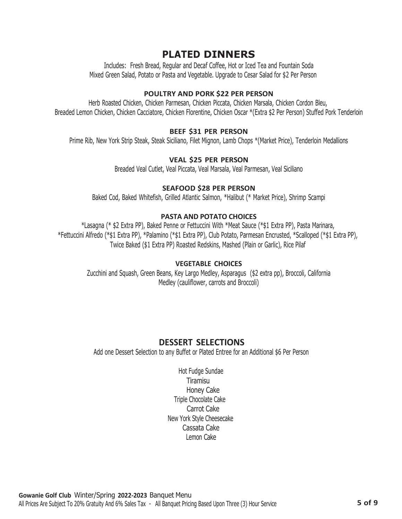# **PLATED DINNERS**

Includes: Fresh Bread, Regular and Decaf Coffee, Hot or Iced Tea and Fountain Soda Mixed Green Salad, Potato or Pasta and Vegetable. Upgrade to Cesar Salad for \$2 Per Person

#### **POULTRY AND PORK \$22 PER PERSON**

Herb Roasted Chicken, Chicken Parmesan, Chicken Piccata, Chicken Marsala, Chicken Cordon Bleu, Breaded Lemon Chicken, Chicken Cacciatore, Chicken Florentine, Chicken Oscar \*(Extra \$2 Per Person) Stuffed Pork Tenderloin

#### **BEEF \$31 PER PERSON**

Prime Rib, New York Strip Steak, Steak Siciliano, Filet Mignon, Lamb Chops \*(Market Price), Tenderloin Medallions

#### **VEAL \$25 PER PERSON**

Breaded Veal Cutlet, Veal Piccata, Veal Marsala, Veal Parmesan, Veal Siciliano

### **SEAFOOD \$28 PER PERSON**

Baked Cod, Baked Whitefish, Grilled Atlantic Salmon, \*Halibut (\* Market Price), Shrimp Scampi

#### **PASTA AND POTATO CHOICES**

\*Lasagna (\* \$2 Extra PP), Baked Penne or Fettuccini With \*Meat Sauce (\*\$1 Extra PP), Pasta Marinara, \*Fettuccini Alfredo (\*\$1 Extra PP), \*Palamino (\*\$1 Extra PP), Club Potato, Parmesan Encrusted, \*Scalloped (\*\$1 Extra PP), Twice Baked (\$1 Extra PP) Roasted Redskins, Mashed (Plain or Garlic), Rice Pilaf

#### **VEGETABLE CHOICES**

Zucchini and Squash, Green Beans, Key Largo Medley, Asparagus (\$2 extra pp), Broccoli, California Medley (cauliflower, carrots and Broccoli)

## **DESSERT SELECTIONS**

Add one Dessert Selection to any Buffet or Plated Entree for an Additional \$6 Per Person

Hot Fudge Sundae **Tiramisu** Honey Cake Triple Chocolate Cake Carrot Cake New York Style Cheesecake Cassata Cake Lemon Cake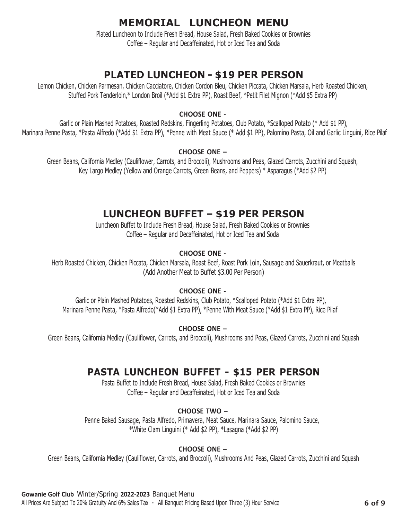# **MEMORIAL LUNCHEON MENU**

Plated Luncheon to Include Fresh Bread, House Salad, Fresh Baked Cookies or Brownies Coffee – Regular and Decaffeinated, Hot or Iced Tea and Soda

# **PLATED LUNCHEON - \$19 PER PERSON**

Lemon Chicken, Chicken Parmesan, Chicken Cacciatore, Chicken Cordon Bleu, Chicken Piccata, Chicken Marsala, Herb Roasted Chicken, Stuffed Pork Tenderloin,\* London Broil (\*Add \$1 Extra PP), Roast Beef, \*Petit Filet Mignon (\*Add \$5 Extra PP)

### **CHOOSE ONE -**

Garlic or Plain Mashed Potatoes, Roasted Redskins, Fingerling Potatoes, Club Potato, \*Scalloped Potato (\* Add \$1 PP), Marinara Penne Pasta, \*Pasta Alfredo (\*Add \$1 Extra PP), \*Penne with Meat Sauce (\* Add \$1 PP), Palomino Pasta, Oil and Garlic Linguini, Rice Pilaf

### **CHOOSE ONE –**

Green Beans, California Medley (Cauliflower, Carrots, and Broccoli), Mushrooms and Peas, Glazed Carrots, Zucchini and Squash, Key Largo Medley (Yellow and Orange Carrots, Green Beans, and Peppers) \* Asparagus (\*Add \$2 PP)

# **LUNCHEON BUFFET – \$19 PER PERSON**

Luncheon Buffet to Include Fresh Bread, House Salad, Fresh Baked Cookies or Brownies Coffee – Regular and Decaffeinated, Hot or Iced Tea and Soda

### **CHOOSE ONE -**

Herb Roasted Chicken, Chicken Piccata, Chicken Marsala, Roast Beef, Roast Pork Loin, Sausage and Sauerkraut, or Meatballs (Add Another Meat to Buffet \$3.00 Per Person)

### **CHOOSE ONE -**

Garlic or Plain Mashed Potatoes, Roasted Redskins, Club Potato, \*Scalloped Potato (\*Add \$1 Extra PP), Marinara Penne Pasta, \*Pasta Alfredo(\*Add \$1 Extra PP), \*Penne With Meat Sauce (\*Add \$1 Extra PP), Rice Pilaf

### **CHOOSE ONE –**

Green Beans, California Medley (Cauliflower, Carrots, and Broccoli), Mushrooms and Peas, Glazed Carrots, Zucchini and Squash

# **PASTA LUNCHEON BUFFET - \$15 PER PERSON**

Pasta Buffet to Include Fresh Bread, House Salad, Fresh Baked Cookies or Brownies Coffee – Regular and Decaffeinated, Hot or Iced Tea and Soda

## **CHOOSE TWO –**

Penne Baked Sausage, Pasta Alfredo, Primavera, Meat Sauce, Marinara Sauce, Palomino Sauce, \*White Clam Linguini (\* Add \$2 PP), \*Lasagna (\*Add \$2 PP)

## **CHOOSE ONE –**

Green Beans, California Medley (Cauliflower, Carrots, and Broccoli), Mushrooms And Peas, Glazed Carrots, Zucchini and Squash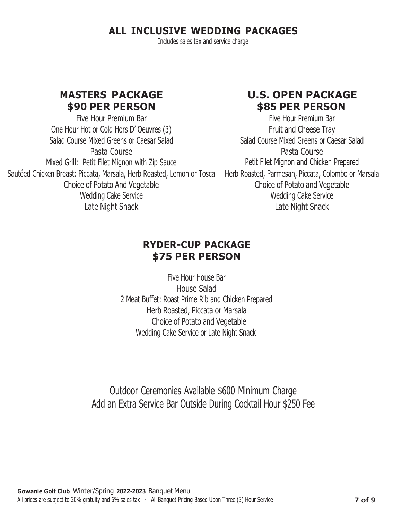# **ALL INCLUSIVE WEDDING PACKAGES**

Includes sales tax and service charge

## **MASTERS PACKAGE \$90 PER PERSON**

Five Hour Premium Bar One Hour Hot or Cold Hors D' Oeuvres (3) Salad Course Mixed Greens or Caesar Salad Pasta Course Mixed Grill: Petit Filet Mignon with Zip Sauce Sauteed Chicken Breast: Piccata, Marsala, Herb Roasted, Lemon or Tosca — Herb Roasted, Parmesan, Piccata, Colombo or Marsala Choice of Potato And Vegetable Wedding Cake Service Late Night Snack

# **U.S. OPEN PACKAGE \$85 PER PERSON**

Five Hour Premium Bar Fruit and Cheese Tray Salad Course Mixed Greens or Caesar Salad Pasta Course Petit Filet Mignon and Chicken Prepared Choice of Potato and Vegetable Wedding Cake Service Late Night Snack

# **RYDER-CUP PACKAGE \$75 PER PERSON**

Five Hour House Bar House Salad 2 Meat Buffet: Roast Prime Rib and Chicken Prepared Herb Roasted, Piccata or Marsala Choice of Potato and Vegetable Wedding Cake Service or Late Night Snack

Outdoor Ceremonies Available \$600 Minimum Charge Add an Extra Service Bar Outside During Cocktail Hour \$250 Fee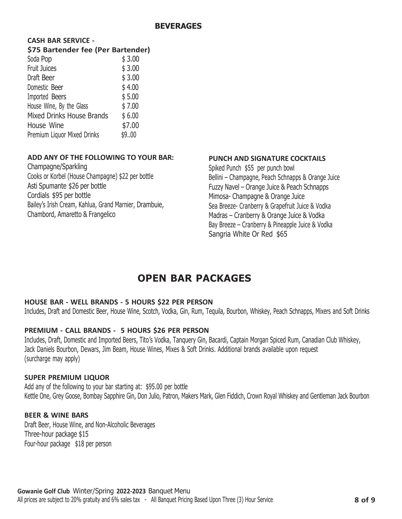#### **BEVERAGES**

### **CASH BAR SERVICE -**

#### **\$75 Bartender fee (Per Bartender)**

| Soda Pop                         | \$3.00 |
|----------------------------------|--------|
| Fruit Juices                     | \$3.00 |
| Draft Beer                       | \$3.00 |
| Domestic Beer                    | \$4.00 |
| Imported Beers                   | \$5.00 |
| House Wine, By the Glass         | \$7.00 |
| <b>Mixed Drinks House Brands</b> | \$6.00 |
| House Wine                       | \$7.00 |
| Premium Liquor Mixed Drinks      | \$9.00 |

#### **ADD ANY OF THE FOLLOWING TO YOUR BAR:**

Champagne/Sparkling Cooks or Korbel (House Champagne) \$22 per bottle Asti Spumante \$26 per bottle Cordials \$95 per bottle Bailey's Irish Cream, Kahlua, Grand Marnier, Drambuie, Chambord, Amaretto & Frangelico

### **PUNCH AND SIGNATURE COCKTAILS**

Spiked Punch \$55 per punch bowl Bellini – Champagne, Peach Schnapps & Orange Juice Fuzzy Navel – Orange Juice & Peach Schnapps Mimosa- Champagne & Orange Juice Sea Breeze- Cranberry & Grapefruit Juice & Vodka Madras – Cranberry & Orange Juice & Vodka Bay Breeze – Cranberry & Pineapple Juice & Vodka Sangria White Or Red \$65

# **OPEN BAR PACKAGES**

#### **HOUSE BAR - WELL BRANDS - 5 HOURS \$22 PER PERSON**

Includes, Draft and Domestic Beer, House Wine, Scotch, Vodka, Gin, Rum, Tequila, Bourbon, Whiskey, Peach Schnapps, Mixers and Soft Drinks

#### **PREMIUM - CALL BRANDS - 5 HOURS \$26 PER PERSON**

Includes, Draft, Domestic and Imported Beers, Tito's Vodka, Tanquery Gin, Bacardi, Captain Morgan Spiced Rum, Canadian Club Whiskey, Jack Daniels Bourbon, Dewars, Jim Beam, House Wines, Mixes & Soft Drinks. Additional brands available upon request (surcharge may apply)

#### **SUPER PREMIUM LIQUOR**

Add any of the following to your bar starting at: \$95.00 per bottle Kettle One, Grey Goose, Bombay Sapphire Gin, Don Julio, Patron, Makers Mark, Glen Fiddich, Crown Royal Whiskey and Gentleman Jack Bourbon

#### **BEER & WINE BARS**

Draft Beer, House Wine, and Non-Alcoholic Beverages Three-hour package \$15 Four-hour package \$18 per person